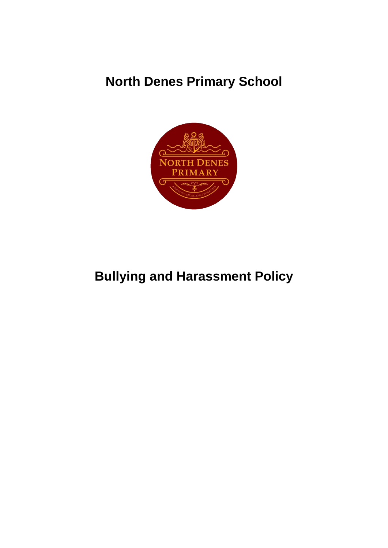# **North Denes Primary School**



# **Bullying and Harassment Policy**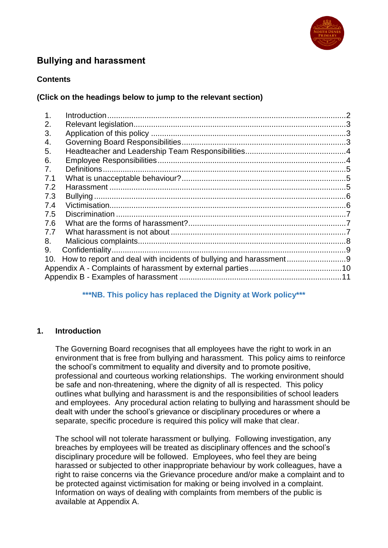

# **Bullying and harassment**

#### **Contents**

#### **(Click on the headings below to jump to the relevant section)**

| 1.  |  |  |
|-----|--|--|
| 2.  |  |  |
| 3.  |  |  |
| 4.  |  |  |
| 5.  |  |  |
| 6.  |  |  |
| 7.  |  |  |
| 7.1 |  |  |
| 7.2 |  |  |
| 7.3 |  |  |
| 7.4 |  |  |
| 7.5 |  |  |
| 7.6 |  |  |
| 7.7 |  |  |
| 8.  |  |  |
| 9.  |  |  |
| 10. |  |  |
|     |  |  |
|     |  |  |

#### **\*\*\*NB. This policy has replaced the Dignity at Work policy\*\*\***

#### <span id="page-1-0"></span>**1. Introduction**

The Governing Board recognises that all employees have the right to work in an environment that is free from bullying and harassment. This policy aims to reinforce the school's commitment to equality and diversity and to promote positive, professional and courteous working relationships. The working environment should be safe and non-threatening, where the dignity of all is respected. This policy outlines what bullying and harassment is and the responsibilities of school leaders and employees. Any procedural action relating to bullying and harassment should be dealt with under the school's grievance or disciplinary procedures or where a separate, specific procedure is required this policy will make that clear.

The school will not tolerate harassment or bullying. Following investigation, any breaches by employees will be treated as disciplinary offences and the school's disciplinary procedure will be followed. Employees, who feel they are being harassed or subjected to other inappropriate behaviour by work colleagues, have a right to raise concerns via the Grievance procedure and/or make a complaint and to be protected against victimisation for making or being involved in a complaint. Information on ways of dealing with complaints from members of the public is available at Appendix A.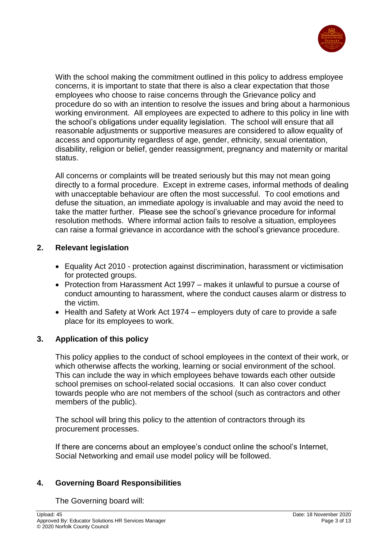

With the school making the commitment outlined in this policy to address employee concerns, it is important to state that there is also a clear expectation that those employees who choose to raise concerns through the Grievance policy and procedure do so with an intention to resolve the issues and bring about a harmonious working environment. All employees are expected to adhere to this policy in line with the school's obligations under equality legislation. The school will ensure that all reasonable adjustments or supportive measures are considered to allow equality of access and opportunity regardless of age, gender, ethnicity, sexual orientation, disability, religion or belief, gender reassignment, pregnancy and maternity or marital status.

All concerns or complaints will be treated seriously but this may not mean going directly to a formal procedure. Except in extreme cases, informal methods of dealing with unacceptable behaviour are often the most successful. To cool emotions and defuse the situation, an immediate apology is invaluable and may avoid the need to take the matter further. Please see the school's grievance procedure for informal resolution methods. Where informal action fails to resolve a situation, employees can raise a formal grievance in accordance with the school's grievance procedure.

# <span id="page-2-0"></span>**2. Relevant legislation**

- Equality Act 2010 protection against discrimination, harassment or victimisation for protected groups.
- Protection from Harassment Act 1997 makes it unlawful to pursue a course of conduct amounting to harassment, where the conduct causes alarm or distress to the victim.
- $\bullet$  Health and Safety at Work Act 1974 employers duty of care to provide a safe place for its employees to work.

# <span id="page-2-1"></span>**3. Application of this policy**

This policy applies to the conduct of school employees in the context of their work, or which otherwise affects the working, learning or social environment of the school. This can include the way in which employees behave towards each other outside school premises on school-related social occasions. It can also cover conduct towards people who are not members of the school (such as contractors and other members of the public).

The school will bring this policy to the attention of contractors through its procurement processes.

If there are concerns about an employee's conduct online the school's Internet, Social Networking and email use model policy will be followed.

#### <span id="page-2-2"></span>**4. Governing Board Responsibilities**

The Governing board will: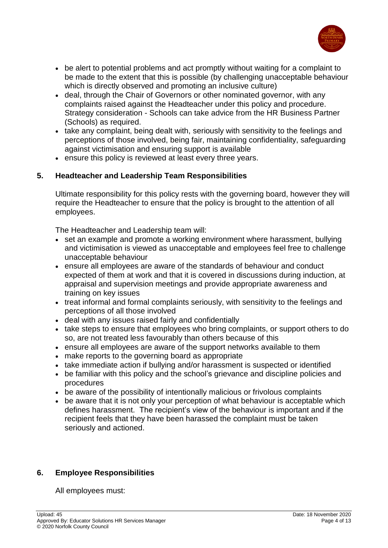

- be alert to potential problems and act promptly without waiting for a complaint to be made to the extent that this is possible (by challenging unacceptable behaviour which is directly observed and promoting an inclusive culture)
- deal, through the Chair of Governors or other nominated governor, with any complaints raised against the Headteacher under this policy and procedure. Strategy consideration - Schools can take advice from the HR Business Partner (Schools) as required.
- take any complaint, being dealt with, seriously with sensitivity to the feelings and perceptions of those involved, being fair, maintaining confidentiality, safeguarding against victimisation and ensuring support is available
- ensure this policy is reviewed at least every three years.

#### <span id="page-3-0"></span>**5. Headteacher and Leadership Team Responsibilities**

Ultimate responsibility for this policy rests with the governing board, however they will require the Headteacher to ensure that the policy is brought to the attention of all employees.

The Headteacher and Leadership team will:

- set an example and promote a working environment where harassment, bullying and victimisation is viewed as unacceptable and employees feel free to challenge unacceptable behaviour
- ensure all employees are aware of the standards of behaviour and conduct expected of them at work and that it is covered in discussions during induction, at appraisal and supervision meetings and provide appropriate awareness and training on key issues
- treat informal and formal complaints seriously, with sensitivity to the feelings and perceptions of all those involved
- deal with any issues raised fairly and confidentially
- take steps to ensure that employees who bring complaints, or support others to do so, are not treated less favourably than others because of this
- ensure all employees are aware of the support networks available to them
- make reports to the governing board as appropriate
- take immediate action if bullying and/or harassment is suspected or identified
- be familiar with this policy and the school's grievance and discipline policies and procedures
- be aware of the possibility of intentionally malicious or frivolous complaints
- be aware that it is not only your perception of what behaviour is acceptable which defines harassment. The recipient's view of the behaviour is important and if the recipient feels that they have been harassed the complaint must be taken seriously and actioned.

#### <span id="page-3-1"></span>**6. Employee Responsibilities**

All employees must: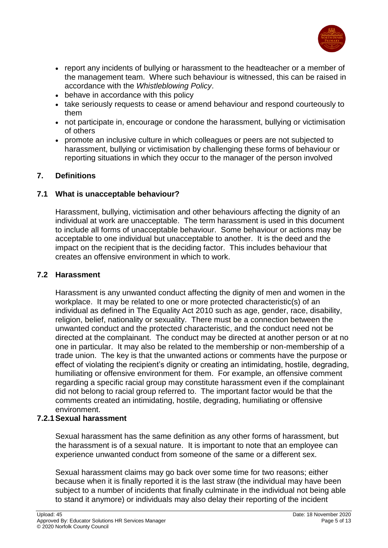

- report any incidents of bullying or harassment to the headteacher or a member of the management team. Where such behaviour is witnessed, this can be raised in accordance with the *Whistleblowing Policy*.
- behave in accordance with this policy
- take seriously requests to cease or amend behaviour and respond courteously to them
- not participate in, encourage or condone the harassment, bullying or victimisation of others
- promote an inclusive culture in which colleagues or peers are not subjected to harassment, bullying or victimisation by challenging these forms of behaviour or reporting situations in which they occur to the manager of the person involved

# <span id="page-4-0"></span>**7. Definitions**

# <span id="page-4-1"></span>**7.1 What is unacceptable behaviour?**

Harassment, bullying, victimisation and other behaviours affecting the dignity of an individual at work are unacceptable. The term harassment is used in this document to include all forms of unacceptable behaviour. Some behaviour or actions may be acceptable to one individual but unacceptable to another. It is the deed and the impact on the recipient that is the deciding factor. This includes behaviour that creates an offensive environment in which to work.

#### <span id="page-4-2"></span>**7.2 Harassment**

Harassment is any unwanted conduct affecting the dignity of men and women in the workplace. It may be related to one or more protected characteristic(s) of an individual as defined in The Equality Act 2010 such as age, gender, race, disability, religion, belief, nationality or sexuality. There must be a connection between the unwanted conduct and the protected characteristic, and the conduct need not be directed at the complainant. The conduct may be directed at another person or at no one in particular. It may also be related to the membership or non-membership of a trade union. The key is that the unwanted actions or comments have the purpose or effect of violating the recipient's dignity or creating an intimidating, hostile, degrading, humiliating or offensive environment for them. For example, an offensive comment regarding a specific racial group may constitute harassment even if the complainant did not belong to racial group referred to. The important factor would be that the comments created an intimidating, hostile, degrading, humiliating or offensive environment.

#### **7.2.1Sexual harassment**

Sexual harassment has the same definition as any other forms of harassment, but the harassment is of a sexual nature. It is important to note that an employee can experience unwanted conduct from someone of the same or a different sex.

Sexual harassment claims may go back over some time for two reasons; either because when it is finally reported it is the last straw (the individual may have been subject to a number of incidents that finally culminate in the individual not being able to stand it anymore) or individuals may also delay their reporting of the incident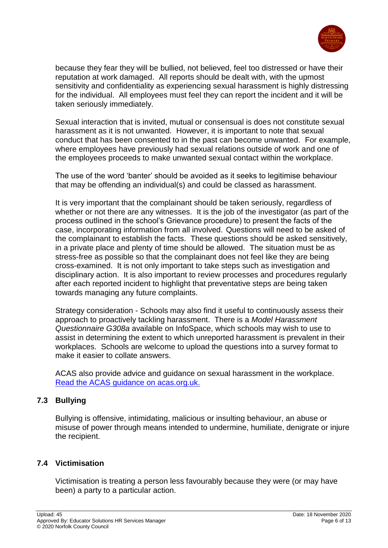

because they fear they will be bullied, not believed, feel too distressed or have their reputation at work damaged. All reports should be dealt with, with the upmost sensitivity and confidentiality as experiencing sexual harassment is highly distressing for the individual. All employees must feel they can report the incident and it will be taken seriously immediately.

Sexual interaction that is invited, mutual or consensual is does not constitute sexual harassment as it is not unwanted. However, it is important to note that sexual conduct that has been consented to in the past can become unwanted. For example, where employees have previously had sexual relations outside of work and one of the employees proceeds to make unwanted sexual contact within the workplace.

The use of the word 'banter' should be avoided as it seeks to legitimise behaviour that may be offending an individual(s) and could be classed as harassment.

It is very important that the complainant should be taken seriously, regardless of whether or not there are any witnesses. It is the job of the investigator (as part of the process outlined in the school's Grievance procedure) to present the facts of the case, incorporating information from all involved. Questions will need to be asked of the complainant to establish the facts. These questions should be asked sensitively, in a private place and plenty of time should be allowed. The situation must be as stress-free as possible so that the complainant does not feel like they are being cross-examined. It is not only important to take steps such as investigation and disciplinary action. It is also important to review processes and procedures regularly after each reported incident to highlight that preventative steps are being taken towards managing any future complaints.

Strategy consideration - Schools may also find it useful to continuously assess their approach to proactively tackling harassment. There is a *Model Harassment Questionnaire G308a* available on InfoSpace, which schools may wish to use to assist in determining the extent to which unreported harassment is prevalent in their workplaces. Schools are welcome to upload the questions into a survey format to make it easier to collate answers.

ACAS also provide advice and guidance on sexual harassment in the workplace. [Read the ACAS guidance on acas.org.uk.](http://www.acas.org.uk/index.aspx?articleid=6078&utm_medium=email&utm_campaign=NTL%20December%202017%20v2&utm_content=NTL%20December%202017%20v2+Version+A+CID_cdfd623ed92131e4939fcfd0a6beb361&utm_sour#Handling a complaint of sexual harassment)

# <span id="page-5-0"></span>**7.3 Bullying**

Bullying is offensive, intimidating, malicious or insulting behaviour, an abuse or misuse of power through means intended to undermine, humiliate, denigrate or injure the recipient.

#### <span id="page-5-1"></span>**7.4 Victimisation**

Victimisation is treating a person less favourably because they were (or may have been) a party to a particular action.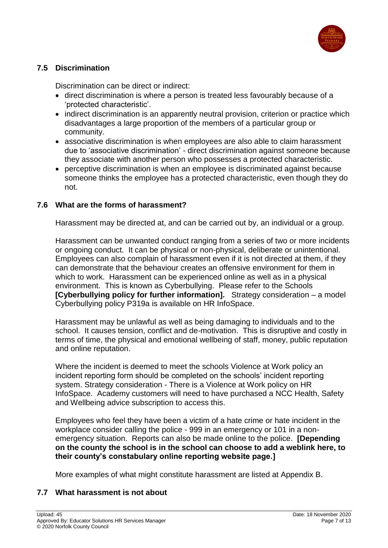

# <span id="page-6-0"></span>**7.5 Discrimination**

Discrimination can be direct or indirect:

- direct discrimination is where a person is treated less favourably because of a 'protected characteristic'.
- indirect discrimination is an apparently neutral provision, criterion or practice which disadvantages a large proportion of the members of a particular group or community.
- associative discrimination is when employees are also able to claim harassment due to 'associative discrimination' - direct discrimination against someone because they associate with another person who possesses a protected characteristic.
- perceptive discrimination is when an employee is discriminated against because someone thinks the employee has a protected characteristic, even though they do not.

#### <span id="page-6-1"></span>**7.6 What are the forms of harassment?**

Harassment may be directed at, and can be carried out by, an individual or a group.

Harassment can be unwanted conduct ranging from a series of two or more incidents or ongoing conduct. It can be physical or non-physical, deliberate or unintentional. Employees can also complain of harassment even if it is not directed at them, if they can demonstrate that the behaviour creates an offensive environment for them in which to work. Harassment can be experienced online as well as in a physical environment. This is known as Cyberbullying. Please refer to the Schools **[Cyberbullying policy for further information].** Strategy consideration – a model Cyberbullying policy P319a is available on HR InfoSpace.

Harassment may be unlawful as well as being damaging to individuals and to the school. It causes tension, conflict and de-motivation. This is disruptive and costly in terms of time, the physical and emotional wellbeing of staff, money, public reputation and online reputation.

Where the incident is deemed to meet the schools Violence at Work policy an incident reporting form should be completed on the schools' incident reporting system. Strategy consideration - There is a Violence at Work policy on HR InfoSpace. Academy customers will need to have purchased a NCC Health, Safety and Wellbeing advice subscription to access this.

Employees who feel they have been a victim of a hate crime or hate incident in the workplace consider calling the police - 999 in an emergency or 101 in a nonemergency situation. Reports can also be made online to the police. **[Depending on the county the school is in the school can choose to add a weblink here, to their county's constabulary online reporting website page.]**

More examples of what might constitute harassment are listed at Appendix B.

#### <span id="page-6-2"></span>**7.7 What harassment is not about**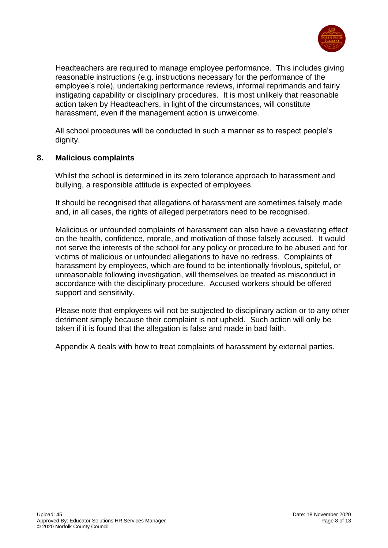

Headteachers are required to manage employee performance. This includes giving reasonable instructions (e.g. instructions necessary for the performance of the employee's role), undertaking performance reviews, informal reprimands and fairly instigating capability or disciplinary procedures. It is most unlikely that reasonable action taken by Headteachers, in light of the circumstances, will constitute harassment, even if the management action is unwelcome.

All school procedures will be conducted in such a manner as to respect people's dianity.

#### <span id="page-7-0"></span>**8. Malicious complaints**

Whilst the school is determined in its zero tolerance approach to harassment and bullying, a responsible attitude is expected of employees.

It should be recognised that allegations of harassment are sometimes falsely made and, in all cases, the rights of alleged perpetrators need to be recognised.

Malicious or unfounded complaints of harassment can also have a devastating effect on the health, confidence, morale, and motivation of those falsely accused. It would not serve the interests of the school for any policy or procedure to be abused and for victims of malicious or unfounded allegations to have no redress. Complaints of harassment by employees, which are found to be intentionally frivolous, spiteful, or unreasonable following investigation, will themselves be treated as misconduct in accordance with the disciplinary procedure. Accused workers should be offered support and sensitivity.

Please note that employees will not be subjected to disciplinary action or to any other detriment simply because their complaint is not upheld. Such action will only be taken if it is found that the allegation is false and made in bad faith.

Appendix A deals with how to treat complaints of harassment by external parties.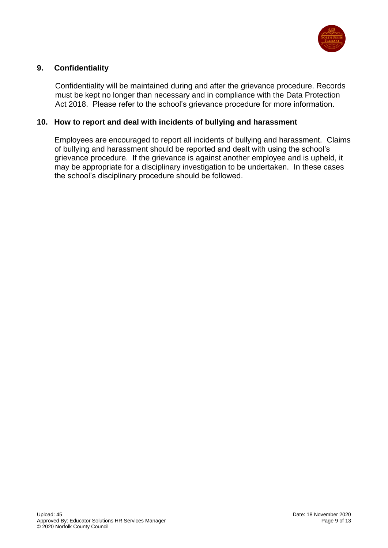

# <span id="page-8-0"></span>**9. Confidentiality**

Confidentiality will be maintained during and after the grievance procedure. Records must be kept no longer than necessary and in compliance with the Data Protection Act 2018. Please refer to the school's grievance procedure for more information.

#### <span id="page-8-1"></span>**10. How to report and deal with incidents of bullying and harassment**

Employees are encouraged to report all incidents of bullying and harassment. Claims of bullying and harassment should be reported and dealt with using the school's grievance procedure. If the grievance is against another employee and is upheld, it may be appropriate for a disciplinary investigation to be undertaken. In these cases the school's disciplinary procedure should be followed.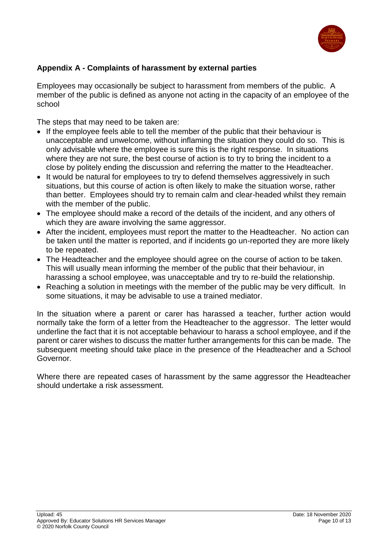

# <span id="page-9-0"></span>**Appendix A - Complaints of harassment by external parties**

Employees may occasionally be subject to harassment from members of the public. A member of the public is defined as anyone not acting in the capacity of an employee of the school

The steps that may need to be taken are:

- If the employee feels able to tell the member of the public that their behaviour is unacceptable and unwelcome, without inflaming the situation they could do so. This is only advisable where the employee is sure this is the right response. In situations where they are not sure, the best course of action is to try to bring the incident to a close by politely ending the discussion and referring the matter to the Headteacher.
- It would be natural for employees to try to defend themselves aggressively in such situations, but this course of action is often likely to make the situation worse, rather than better. Employees should try to remain calm and clear-headed whilst they remain with the member of the public.
- The employee should make a record of the details of the incident, and any others of which they are aware involving the same aggressor.
- After the incident, employees must report the matter to the Headteacher. No action can be taken until the matter is reported, and if incidents go un-reported they are more likely to be repeated.
- The Headteacher and the employee should agree on the course of action to be taken. This will usually mean informing the member of the public that their behaviour, in harassing a school employee, was unacceptable and try to re-build the relationship.
- Reaching a solution in meetings with the member of the public may be very difficult. In some situations, it may be advisable to use a trained mediator.

In the situation where a parent or carer has harassed a teacher, further action would normally take the form of a letter from the Headteacher to the aggressor. The letter would underline the fact that it is not acceptable behaviour to harass a school employee, and if the parent or carer wishes to discuss the matter further arrangements for this can be made. The subsequent meeting should take place in the presence of the Headteacher and a School Governor*.*

Where there are repeated cases of harassment by the same aggressor the Headteacher should undertake a risk assessment.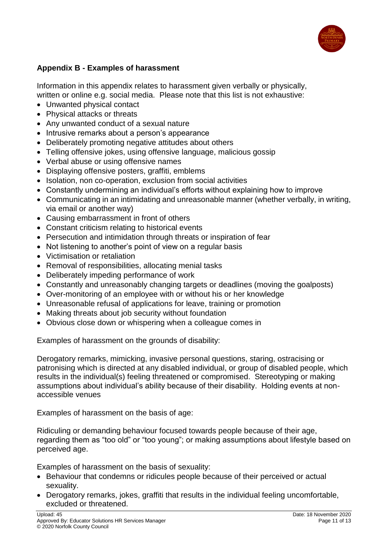

# <span id="page-10-0"></span>**Appendix B - Examples of harassment**

Information in this appendix relates to harassment given verbally or physically, written or online e.g. social media. Please note that this list is not exhaustive:

- Unwanted physical contact
- Physical attacks or threats
- Any unwanted conduct of a sexual nature
- Intrusive remarks about a person's appearance
- Deliberately promoting negative attitudes about others
- Telling offensive jokes, using offensive language, malicious gossip
- Verbal abuse or using offensive names
- Displaying offensive posters, graffiti, emblems
- Isolation, non co-operation, exclusion from social activities
- Constantly undermining an individual's efforts without explaining how to improve
- Communicating in an intimidating and unreasonable manner (whether verbally, in writing, via email or another way)
- Causing embarrassment in front of others
- Constant criticism relating to historical events
- Persecution and intimidation through threats or inspiration of fear
- Not listening to another's point of view on a regular basis
- Victimisation or retaliation
- Removal of responsibilities, allocating menial tasks
- Deliberately impeding performance of work
- Constantly and unreasonably changing targets or deadlines (moving the goalposts)
- Over-monitoring of an employee with or without his or her knowledge
- Unreasonable refusal of applications for leave, training or promotion
- Making threats about job security without foundation
- Obvious close down or whispering when a colleague comes in

Examples of harassment on the grounds of disability:

Derogatory remarks, mimicking, invasive personal questions, staring, ostracising or patronising which is directed at any disabled individual, or group of disabled people, which results in the individual(s) feeling threatened or compromised. Stereotyping or making assumptions about individual's ability because of their disability. Holding events at nonaccessible venues

Examples of harassment on the basis of age:

Ridiculing or demanding behaviour focused towards people because of their age, regarding them as "too old" or "too young"; or making assumptions about lifestyle based on perceived age.

Examples of harassment on the basis of sexuality:

- Behaviour that condemns or ridicules people because of their perceived or actual sexuality.
- Derogatory remarks, jokes, graffiti that results in the individual feeling uncomfortable, excluded or threatened.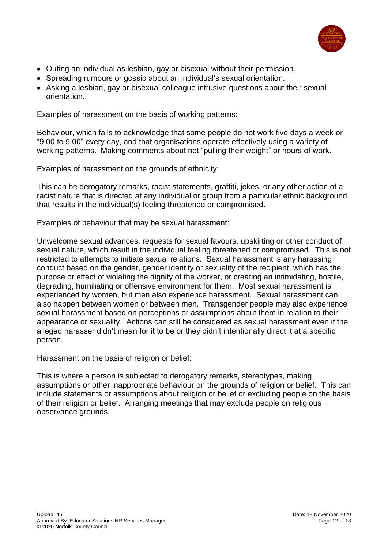

- Outing an individual as lesbian, gay or bisexual without their permission.
- Spreading rumours or gossip about an individual's sexual orientation.
- Asking a lesbian, gay or bisexual colleague intrusive questions about their sexual orientation.

Examples of harassment on the basis of working patterns:

Behaviour, which fails to acknowledge that some people do not work five days a week or "9.00 to 5.00" every day, and that organisations operate effectively using a variety of working patterns. Making comments about not "pulling their weight" or hours of work.

Examples of harassment on the grounds of ethnicity:

This can be derogatory remarks, racist statements, graffiti, jokes, or any other action of a racist nature that is directed at any individual or group from a particular ethnic background that results in the individual(s) feeling threatened or compromised.

Examples of behaviour that may be sexual harassment:

Unwelcome sexual advances, requests for sexual favours, upskirting or other conduct of sexual nature, which result in the individual feeling threatened or compromised. This is not restricted to attempts to initiate sexual relations. Sexual harassment is any harassing conduct based on the gender, gender identity or sexuality of the recipient, which has the purpose or effect of violating the dignity of the worker, or creating an intimidating, hostile, degrading, humiliating or offensive environment for them. Most sexual harassment is experienced by women, but men also experience harassment. Sexual harassment can also happen between women or between men. Transgender people may also experience sexual harassment based on perceptions or assumptions about them in relation to their appearance or sexuality. Actions can still be considered as sexual harassment even if the alleged harasser didn't mean for it to be or they didn't intentionally direct it at a specific person.

Harassment on the basis of religion or belief:

This is where a person is subjected to derogatory remarks, stereotypes, making assumptions or other inappropriate behaviour on the grounds of religion or belief. This can include statements or assumptions about religion or belief or excluding people on the basis of their religion or belief. Arranging meetings that may exclude people on religious observance grounds.